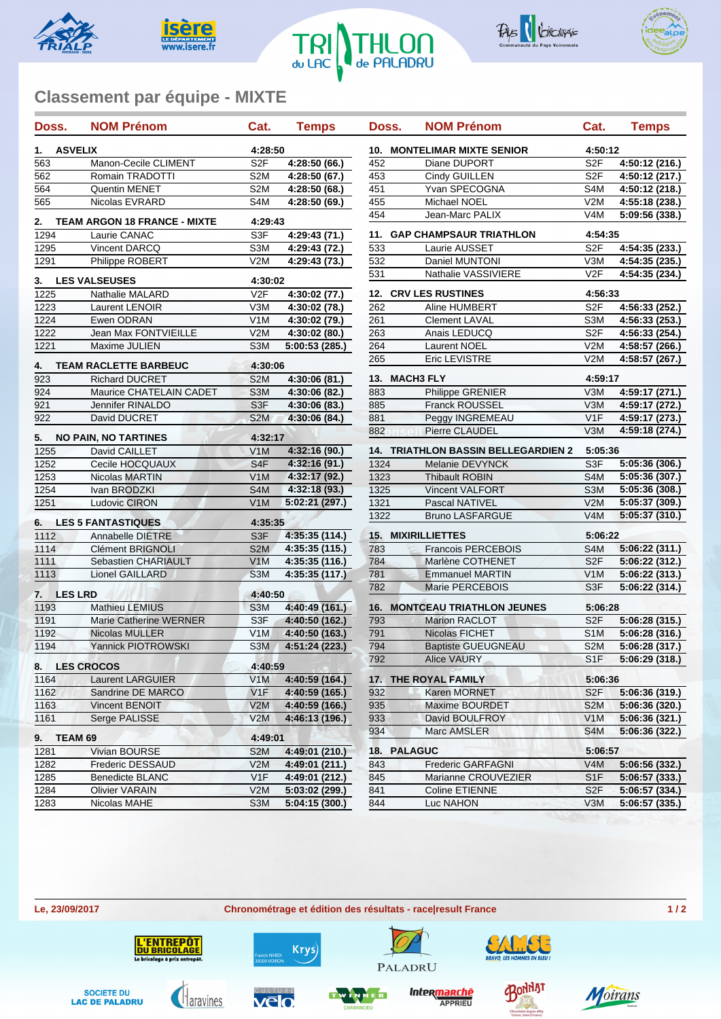









## **Classement par équipe - MIXTE**

| Doss.                                     | <b>NOM Prénom</b>                            | Cat.                              | <b>Temps</b>   | Doss.                                 | <b>NOM Prénom</b>                          | Cat.             | <b>Temps</b>   |  |
|-------------------------------------------|----------------------------------------------|-----------------------------------|----------------|---------------------------------------|--------------------------------------------|------------------|----------------|--|
| <b>ASVELIX</b><br>1.                      |                                              | 4:28:50                           |                | <b>MONTELIMAR MIXTE SENIOR</b><br>10. |                                            | 4:50:12          |                |  |
| 563                                       | Manon-Cecile CLIMENT                         | S <sub>2F</sub>                   | 4:28:50 (66.)  | 452                                   | Diane DUPORT                               | S <sub>2F</sub>  | 4:50:12 (216.) |  |
| 562                                       | Romain TRADOTTI                              | S <sub>2</sub> M                  | 4:28:50 (67.)  | 453                                   | Cindy GUILLEN                              | S <sub>2F</sub>  | 4:50:12 (217.) |  |
| 564                                       | Quentin MENET                                | S <sub>2</sub> M                  | 4:28:50 (68.)  | 451                                   | Yvan SPECOGNA                              | S4M              | 4:50:12 (218.) |  |
| 565                                       | Nicolas EVRARD                               | S <sub>4</sub> M                  | 4:28:50 (69.)  | 455                                   | Michael NOEL                               | V2M              | 4:55:18 (238.) |  |
| 2.<br><b>TEAM ARGON 18 FRANCE - MIXTE</b> |                                              | 4:29:43                           |                | 454                                   | Jean-Marc PALIX                            | V <sub>4</sub> M | 5:09:56 (338.) |  |
| 1294                                      | Laurie CANAC                                 | S3F                               | 4:29:43 (71.)  | 11.                                   | <b>GAP CHAMPSAUR TRIATHLON</b>             | 4:54:35          |                |  |
| 1295                                      | Vincent DARCQ                                | S3M                               | 4:29:43 (72.)  | 533                                   | Laurie AUSSET                              | S <sub>2F</sub>  | 4:54:35 (233.) |  |
| 1291                                      | Philippe ROBERT                              | V2M                               | 4:29:43 (73.)  | 532                                   | Daniel MUNTONI                             | V3M              | 4:54:35 (235.) |  |
| 3.                                        | <b>LES VALSEUSES</b>                         | 4:30:02                           |                | 531                                   | Nathalie VASSIVIERE                        | V <sub>2F</sub>  | 4:54:35 (234.) |  |
| 1225                                      | Nathalie MALARD                              | V2F                               | 4:30:02 (77.)  | <b>12. CRV LES RUSTINES</b>           |                                            | 4:56:33          |                |  |
| 1223                                      | Laurent LENOIR                               | V3M                               | 4:30:02 (78.)  | 262                                   | Aline HUMBERT                              | S <sub>2F</sub>  | 4:56:33 (252.) |  |
| 1224                                      | Ewen ODRAN                                   | V <sub>1</sub> M                  | 4:30:02 (79.)  | 261                                   | <b>Clement LAVAL</b>                       | S <sub>3</sub> M | 4:56:33 (253.) |  |
| 1222                                      | Jean Max FONTVIEILLE                         | V2M                               | 4:30:02 (80.)  | 263                                   | Anais LEDUCQ                               | S <sub>2F</sub>  | 4:56:33 (254.) |  |
| 1221                                      | Maxime JULIEN                                | S <sub>3</sub> M                  | 5:00:53 (285.) | 264                                   | Laurent NOEL                               | V2M              | 4:58:57 (266.) |  |
| 4.                                        | <b>TEAM RACLETTE BARBEUC</b>                 | 4:30:06                           |                | 265                                   | Eric LEVISTRE                              | V2M              | 4:58:57 (267.) |  |
| 923                                       | <b>Richard DUCRET</b>                        | S <sub>2</sub> M<br>4:30:06 (81.) |                | 13.<br><b>MACH3 FLY</b>               |                                            |                  | 4:59:17        |  |
| 924                                       | Maurice CHATELAIN CADET                      | S <sub>3</sub> M                  | 4:30:06 (82.)  | 883                                   | Philippe GRENIER                           | V3M              | 4:59:17 (271.) |  |
| 921                                       | Jennifer RINALDO                             | S <sub>3F</sub>                   | 4:30:06 (83.)  | 885                                   | Franck ROUSSEL                             | V3M              | 4:59:17 (272.) |  |
| 922                                       | David DUCRET                                 | S <sub>2</sub> M                  | 4:30:06 (84.)  | 881                                   | Peggy INGREMEAU                            | V1F              | 4:59:17 (273.) |  |
|                                           |                                              |                                   |                | 882                                   | Pierre CLAUDEL                             | V3M              | 4:59:18 (274.) |  |
| 5.<br>1255                                | <b>NO PAIN, NO TARTINES</b><br>David CAILLET | 4:32:17<br>V1M                    | 4:32:16 (90.)  |                                       | <b>14. TRIATHLON BASSIN BELLEGARDIEN 2</b> | 5:05:36          |                |  |
| 1252                                      | Cecile HOCQUAUX                              | S <sub>4F</sub>                   | 4:32:16 (91.)  | 1324                                  | Melanie DEVYNCK                            | S3F              | 5:05:36 (306.) |  |
| 1253                                      | Nicolas MARTIN                               | V1M                               | 4:32:17 (92.)  | 1323                                  | <b>Thibault ROBIN</b>                      | S <sub>4</sub> M | 5:05:36 (307.) |  |
| 1254                                      | Ivan BRODZKI                                 | S <sub>4</sub> M                  | 4:32:18 (93.)  | 1325                                  | <b>Vincent VALFORT</b>                     | S <sub>3</sub> M | 5:05:36 (308.) |  |
| 1251                                      | <b>Ludovic CIRON</b>                         | V <sub>1</sub> M                  | 5:02:21 (297.) | 1321                                  | Pascal NATIVEL                             | V2M              | 5:05:37 (309.) |  |
| <b>LES 5 FANTASTIQUES</b><br>6.           |                                              | 4:35:35                           |                | 1322                                  | <b>Bruno LASFARGUE</b>                     | V4M              | 5:05:37 (310.) |  |
| 1112                                      | Annabelle DIETRE                             | S <sub>3F</sub>                   | 4:35:35 (114.) | 15.                                   | <b>MIXIRILLIETTES</b>                      | 5:06:22          |                |  |
| 1114                                      | <b>Clément BRIGNOLI</b>                      | S <sub>2</sub> M                  | 4:35:35 (115.) | 783                                   | <b>Francois PERCEBOIS</b>                  | S <sub>4</sub> M | 5:06:22 (311.) |  |
| 1111                                      | Sebastien CHARIAULT                          | V1M                               | 4:35:35 (116.) | 784                                   | Marlène COTHENET                           | S <sub>2F</sub>  | 5:06:22 (312.) |  |
| 1113                                      | <b>Lionel GAILLARD</b>                       | S <sub>3</sub> M                  | 4:35:35 (117.) | 781                                   | <b>Emmanuel MARTIN</b>                     | V <sub>1</sub> M | 5:06:22 (313.) |  |
|                                           |                                              |                                   |                | 782                                   | Marie PERCEBOIS                            | S3F              | 5:06:22 (314.) |  |
| <b>LES LRD</b><br>7.<br>1193              | <b>Mathieu LEMIUS</b>                        | 4:40:50<br>S <sub>3</sub> M       | 4:40:49 (161.) | 16.                                   | <b>MONTCEAU TRIATHLON JEUNES</b>           | 5:06:28          |                |  |
| 1191                                      | Marie Catherine WERNER                       | S <sub>3F</sub>                   | 4:40:50 (162.) | 793                                   | <b>Marion RACLOT</b>                       | S <sub>2F</sub>  | 5:06:28(315.)  |  |
| 1192                                      | <b>Nicolas MULLER</b>                        | V1M                               | 4:40:50 (163.) | 791                                   | Nicolas FICHET                             | S <sub>1</sub> M | 5:06:28 (316.) |  |
| 1194                                      | <b>Yannick PIOTROWSKI</b>                    | S <sub>3</sub> M                  | 4:51:24 (223.) | 794                                   | <b>Baptiste GUEUGNEAU</b>                  | S <sub>2</sub> M | 5:06:28 (317.) |  |
| 8.                                        | <b>LES CROCOS</b>                            | 4:40:59                           |                | 792                                   | Alice VAURY                                | S1F              | 5:06:29(318.)  |  |
| 1164                                      | <b>Laurent LARGUIER</b>                      | V <sub>1</sub> M                  | 4:40:59 (164.) |                                       | 17. THE ROYAL FAMILY                       | 5:06:36          |                |  |
| 1162                                      | Sandrine DE MARCO                            | V1F                               | 4:40:59 (165.) | 932                                   | Karen MORNET                               | S <sub>2F</sub>  | 5:06:36 (319.) |  |
| 1163                                      | Vincent BENOIT                               | V2M                               | 4:40:59 (166.) | 935                                   | Maxime BOURDET                             | S <sub>2</sub> M | 5:06:36 (320.) |  |
| 1161                                      | Serge PALISSE                                | V2M                               | 4:46:13 (196.) | 933                                   | David BOULFROY                             | V <sub>1</sub> M | 5:06:36 (321.) |  |
|                                           |                                              |                                   |                | 934                                   | Marc AMSLER                                | S <sub>4</sub> M | 5:06:36 (322.) |  |
| 9. TEAM 69<br>1281                        | Vivian BOURSE                                | 4:49:01<br>S <sub>2</sub> M       | 4:49:01 (210.) | 18. PALAGUC                           |                                            | 5:06:57          |                |  |
| 1282                                      | Frederic DESSAUD                             | V2M                               | 4:49:01 (211.) | 843                                   | <b>Frederic GARFAGNI</b>                   | V4M              | 5:06:56(332.)  |  |
| 1285                                      | Benedicte BLANC                              | V <sub>1</sub> F                  | 4:49:01 (212.) | 845                                   | Marianne CROUVEZIER                        | S <sub>1</sub> F | 5:06:57 (333.) |  |
| 1284                                      | <b>Olivier VARAIN</b>                        | V2M                               | 5:03:02 (299.) | 841                                   | Coline ETIENNE                             | S <sub>2F</sub>  | 5:06:57 (334.) |  |
| 1283                                      | Nicolas MAHE                                 | S <sub>3</sub> M                  | 5:04:15 (300.) | 844                                   | Luc NAHON                                  | V3M              | 5:06:57(335.)  |  |
|                                           |                                              |                                   |                |                                       |                                            |                  |                |  |